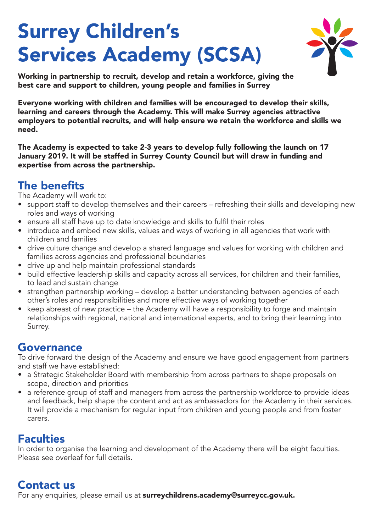# Surrey Children's Services Academy (SCSA)



Working in partnership to recruit, develop and retain a workforce, giving the best care and support to children, young people and families in Surrey

Everyone working with children and families will be encouraged to develop their skills, learning and careers through the Academy. This will make Surrey agencies attractive employers to potential recruits, and will help ensure we retain the workforce and skills we need.

The Academy is expected to take 2-3 years to develop fully following the launch on 17 January 2019. It will be staffed in Surrey County Council but will draw in funding and expertise from across the partnership.

#### The benefits

The Academy will work to:

- support staff to develop themselves and their careers refreshing their skills and developing new roles and ways of working
- ensure all staff have up to date knowledge and skills to fulfil their roles
- introduce and embed new skills, values and ways of working in all agencies that work with children and families
- drive culture change and develop a shared language and values for working with children and families across agencies and professional boundaries
- drive up and help maintain professional standards
- build effective leadership skills and capacity across all services, for children and their families, to lead and sustain change
- strengthen partnership working develop a better understanding between agencies of each other's roles and responsibilities and more effective ways of working together
- keep abreast of new practice the Academy will have a responsibility to forge and maintain relationships with regional, national and international experts, and to bring their learning into Surrey.

#### Governance

To drive forward the design of the Academy and ensure we have good engagement from partners and staff we have established:

- a Strategic Stakeholder Board with membership from across partners to shape proposals on scope, direction and priorities
- a reference group of staff and managers from across the partnership workforce to provide ideas and feedback, help shape the content and act as ambassadors for the Academy in their services. It will provide a mechanism for regular input from children and young people and from foster carers.

#### **Faculties**

In order to organise the learning and development of the Academy there will be eight faculties. Please see overleaf for full details.

#### Contact us

For any enquiries, please email us at surreychildrens.academy@surreycc.gov.uk.